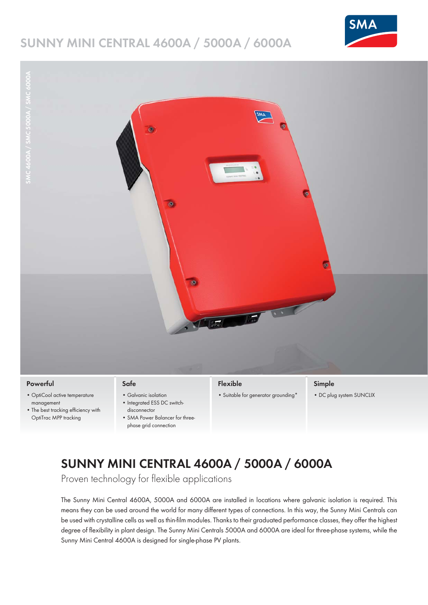# **SUNNY MINI CENTRAL 4600A / 5000A / 6000A**





#### **Powerful**

- OptiCool active temperature management
- The best tracking efficiency with OptiTrac MPP tracking

#### **Safe**

- Galvanic isolation • Integrated ESS DC switch-
- disconnector
- SMA Power Balancer for threephase grid connection

### **Flexible**

• Suitable for generator grounding\*

#### **Simple**

• DC plug system SUNCLIX

# **SUNNY MINI CENTRAL 4600A / 5000A / 6000A**

Proven technology for flexible applications

The Sunny Mini Central 4600A, 5000A and 6000A are installed in locations where galvanic isolation is required. This means they can be used around the world for many different types of connections. In this way, the Sunny Mini Centrals can be used with crystalline cells as well as thin-film modules. Thanks to their graduated performance classes, they offer the highest degree of flexibility in plant design. The Sunny Mini Centrals 5000A and 6000A are ideal for three-phase systems, while the Sunny Mini Central 4600A is designed for single-phase PV plants.